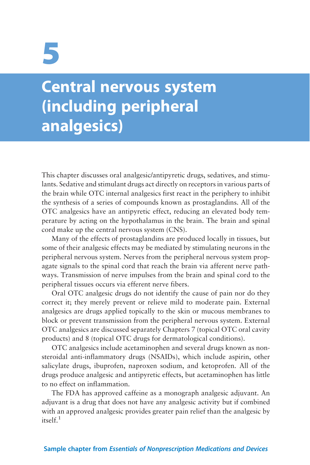# 5

# Central nervous system (including peripheral analgesics)

This chapter discusses oral analgesic/antipyretic drugs, sedatives, and stimulants. Sedative and stimulant drugs act directly on receptors in various parts of the brain while OTC internal analgesics first react in the periphery to inhibit the synthesis of a series of compounds known as prostaglandins. All of the OTC analgesics have an antipyretic effect, reducing an elevated body temperature by acting on the hypothalamus in the brain. The brain and spinal cord make up the central nervous system (CNS).

Many of the effects of prostaglandins are produced locally in tissues, but some of their analgesic effects may be mediated by stimulating neurons in the peripheral nervous system. Nerves from the peripheral nervous system propagate signals to the spinal cord that reach the brain via afferent nerve pathways. Transmission of nerve impulses from the brain and spinal cord to the peripheral tissues occurs via efferent nerve fibers.

Oral OTC analgesic drugs do not identify the cause of pain nor do they correct it; they merely prevent or relieve mild to moderate pain. External analgesics are drugs applied topically to the skin or mucous membranes to block or prevent transmission from the peripheral nervous system. External OTC analgesics are discussed separately Chapters 7 (topical OTC oral cavity products) and 8 (topical OTC drugs for dermatological conditions).

OTC analgesics include acetaminophen and several drugs known as nonsteroidal anti-inflammatory drugs (NSAIDs), which include aspirin, other salicylate drugs, ibuprofen, naproxen sodium, and ketoprofen. All of the drugs produce analgesic and antipyretic effects, but acetaminophen has little to no effect on inflammation.

The FDA has approved caffeine as a monograph analgesic adjuvant. An adjuvant is a drug that does not have any analgesic activity but if combined with an approved analgesic provides greater pain relief than the analgesic by  $itself<sup>1</sup>$  $itself<sup>1</sup>$  $itself<sup>1</sup>$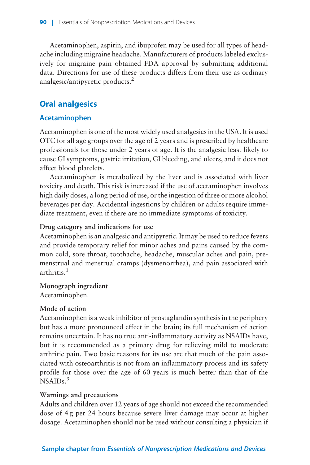Acetaminophen, aspirin, and ibuprofen may be used for all types of headache including migraine headache. Manufacturers of products labeled exclusively for migraine pain obtained FDA approval by submitting additional data. Directions for use of these products differs from their use as ordinary analgesic/antipyretic products.<sup>[2](#page-20-0)</sup>

# Oral analgesics

# Acetaminophen

Acetaminophen is one of the most widely used analgesics in the USA. It is used OTC for all age groups over the age of 2 years and is prescribed by healthcare professionals for those under 2 years of age. It is the analgesic least likely to cause GI symptoms, gastric irritation, GI bleeding, and ulcers, and it does not affect blood platelets.

Acetaminophen is metabolized by the liver and is associated with liver toxicity and death. This risk is increased if the use of acetaminophen involves high daily doses, a long period of use, or the ingestion of three or more alcohol beverages per day. Accidental ingestions by children or adults require immediate treatment, even if there are no immediate symptoms of toxicity.

# Drug category and indications for use

Acetaminophen is an analgesic and antipyretic. It may be used to reduce fevers and provide temporary relief for minor aches and pains caused by the common cold, sore throat, toothache, headache, muscular aches and pain, premenstrual and menstrual cramps (dysmenorrhea), and pain associated with arthritis. $<sup>1</sup>$  $<sup>1</sup>$  $<sup>1</sup>$ </sup>

# Monograph ingredient

Acetaminophen.

# Mode of action

Acetaminophen is a weak inhibitor of prostaglandin synthesis in the periphery but has a more pronounced effect in the brain; its full mechanism of action remains uncertain. It has no true anti-inflammatory activity as NSAIDs have, but it is recommended as a primary drug for relieving mild to moderate arthritic pain. Two basic reasons for its use are that much of the pain associated with osteoarthritis is not from an inflammatory process and its safety profile for those over the age of 60 years is much better than that of the  $NSAIDs.<sup>3</sup>$  $NSAIDs.<sup>3</sup>$  $NSAIDs.<sup>3</sup>$ 

# Warnings and precautions

Adults and children over 12 years of age should not exceed the recommended dose of 4 g per 24 hours because severe liver damage may occur at higher dosage. Acetaminophen should not be used without consulting a physician if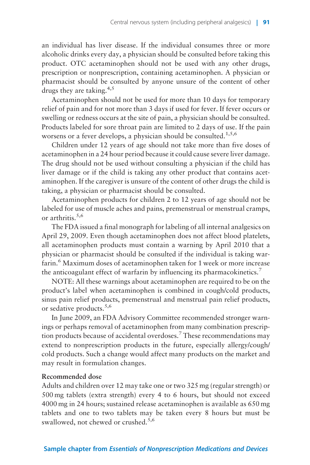an individual has liver disease. If the individual consumes three or more alcoholic drinks every day, a physician should be consulted before taking this product. OTC acetaminophen should not be used with any other drugs, prescription or nonprescription, containing acetaminophen. A physician or pharmacist should be consulted by anyone unsure of the content of other drugs they are taking.<sup>[4,5](#page-20-0)</sup>

Acetaminophen should not be used for more than 10 days for temporary relief of pain and for not more than 3 days if used for fever. If fever occurs or swelling or redness occurs at the site of pain, a physician should be consulted. Products labeled for sore throat pain are limited to 2 days of use. If the pain worsens or a fever develops, a physician should be consulted.<sup>[1,5,6](#page-20-0)</sup>

Children under 12 years of age should not take more than five doses of acetaminophen in a 24 hour period because it could cause severe liver damage. The drug should not be used without consulting a physician if the child has liver damage or if the child is taking any other product that contains acetaminophen. If the caregiver is unsure of the content of other drugs the child is taking, a physician or pharmacist should be consulted.

Acetaminophen products for children 2 to 12 years of age should not be labeled for use of muscle aches and pains, premenstrual or menstrual cramps, or arthritis. $5,6$ 

The FDA issued a final monograph for labeling of all internal analgesics on April 29, 2009. Even though acetaminophen does not affect blood platelets, all acetaminophen products must contain a warning by April 2010 that a physician or pharmacist should be consulted if the individual is taking war-farin.<sup>[6](#page-20-0)</sup> Maximum doses of acetaminophen taken for 1 week or more increase the anticoagulant effect of warfarin by influencing its pharmacokinetics.<sup>[7](#page-20-0)</sup>

NOTE: All these warnings about acetaminophen are required to be on the product's label when acetaminophen is combined in cough/cold products, sinus pain relief products, premenstrual and menstrual pain relief products, or sedative products. $5,6$ 

In June 2009, an FDA Advisory Committee recommended stronger warnings or perhaps removal of acetaminophen from many combination prescription products because of accidental overdoses[.7](#page-20-0) These recommendations may extend to nonprescription products in the future, especially allergy/cough/ cold products. Such a change would affect many products on the market and may result in formulation changes.

# Recommended dose

Adults and children over 12 may take one or two 325 mg (regular strength) or 500 mg tablets (extra strength) every 4 to 6 hours, but should not exceed 4000 mg in 24 hours; sustained release acetaminophen is available as 650 mg tablets and one to two tablets may be taken every 8 hours but must be swallowed, not chewed or crushed.<sup>[5,6](#page-20-0)</sup>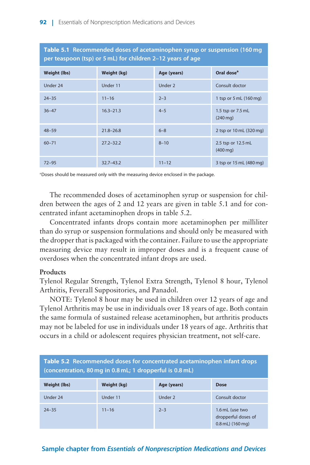| Table 5.1 Recommended doses of acetaminophen syrup or suspension (160 mg)<br>per teaspoon (tsp) or 5 mL) for children 2-12 years of age |               |             |                                          |
|-----------------------------------------------------------------------------------------------------------------------------------------|---------------|-------------|------------------------------------------|
| Weight (lbs)                                                                                                                            | Weight (kg)   | Age (years) | Oral dose <sup>a</sup>                   |
| Under 24                                                                                                                                | Under 11      | Under 2     | Consult doctor                           |
| $24 - 35$                                                                                                                               | $11 - 16$     | $2 - 3$     | 1 tsp or 5 mL (160 mg)                   |
| $36 - 47$                                                                                                                               | $16.3 - 21.3$ | $4 - 5$     | 1.5 tsp or 7.5 mL<br>$(240 \text{ mg})$  |
| $48 - 59$                                                                                                                               | $21.8 - 26.8$ | $6 - 8$     | 2 tsp or 10 mL (320 mg)                  |
| $60 - 71$                                                                                                                               | $27.2 - 32.2$ | $8 - 10$    | 2.5 tsp or 12.5 mL<br>$(400 \text{ mg})$ |
| $72 - 95$                                                                                                                               | $32.7 - 43.2$ | $11 - 12$   | 3 tsp or 15 mL (480 mg)                  |

<sup>a</sup>Doses should be measured only with the measuring device enclosed in the package.

The recommended doses of acetaminophen syrup or suspension for children between the ages of 2 and 12 years are given in table 5.1 and for concentrated infant acetaminophen drops in table 5.2.

Concentrated infants drops contain more acetaminophen per milliliter than do syrup or suspension formulations and should only be measured with the dropper that is packaged with the container. Failure to use the appropriate measuring device may result in improper doses and is a frequent cause of overdoses when the concentrated infant drops are used.

#### Products

Tylenol Regular Strength, Tylenol Extra Strength, Tylenol 8 hour, Tylenol Arthritis, Feverall Suppositories, and Panadol.

NOTE: Tylenol 8 hour may be used in children over 12 years of age and Tylenol Arthritis may be use in individuals over 18 years of age. Both contain the same formula of sustained release acetaminophen, but arthritis products may not be labeled for use in individuals under 18 years of age. Arthritis that occurs in a child or adolescent requires physician treatment, not self-care.

| <b>Table 5.2</b> Recommended doses for concentrated acetaminophen infant drops<br>(concentration, 80 mg in 0.8 mL; 1 dropperful is 0.8 mL) |             |             |                                                                |
|--------------------------------------------------------------------------------------------------------------------------------------------|-------------|-------------|----------------------------------------------------------------|
| Weight (lbs)                                                                                                                               | Weight (kg) | Age (years) | <b>Dose</b>                                                    |
| Under 24                                                                                                                                   | Under 11    | Under 2     | Consult doctor                                                 |
| $24 - 35$                                                                                                                                  | $11 - 16$   | $2 - 3$     | 1.6 mL (use two<br>dropperful doses of<br>$0.8$ mL) $(160$ mg) |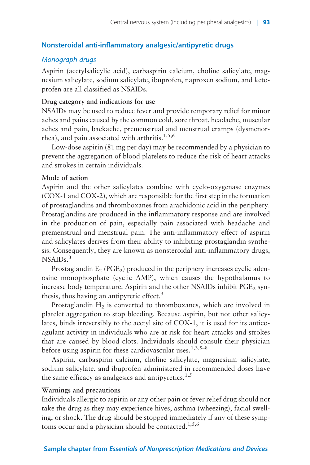#### Nonsteroidal anti-inflammatory analgesic/antipyretic drugs

# Monograph drugs

Aspirin (acetylsalicylic acid), carbaspirin calcium, choline salicylate, magnesium salicylate, sodium salicylate, ibuprofen, naproxen sodium, and ketoprofen are all classified as NSAIDs.

#### Drug category and indications for use

NSAIDs may be used to reduce fever and provide temporary relief for minor aches and pains caused by the common cold, sore throat, headache, muscular aches and pain, backache, premenstrual and menstrual cramps (dysmenorrhea), and pain associated with arthritis. $1,5,6$ 

Low-dose aspirin (81 mg per day) may be recommended by a physician to prevent the aggregation of blood platelets to reduce the risk of heart attacks and strokes in certain individuals.

# Mode of action

Aspirin and the other salicylates combine with cyclo-oxygenase enzymes (COX-1 and COX-2), which are responsible for the first step in the formation of prostaglandins and thromboxanes from arachidonic acid in the periphery. Prostaglandins are produced in the inflammatory response and are involved in the production of pain, especially pain associated with headache and premenstrual and menstrual pain. The anti-inflammatory effect of aspirin and salicylates derives from their ability to inhibiting prostaglandin synthesis. Consequently, they are known as nonsteroidal anti-inflammatory drugs,  $NSAIDs.<sup>3</sup>$  $NSAIDs.<sup>3</sup>$  $NSAIDs.<sup>3</sup>$ 

Prostaglandin  $E_2$  (PGE<sub>2</sub>) produced in the periphery increases cyclic adenosine monophosphate (cyclic AMP), which causes the hypothalamus to increase body temperature. Aspirin and the other NSAIDs inhibit  $PGE<sub>2</sub>$  synthesis, thus having an antipyretic effect. $3$ 

Prostaglandin H<sub>2</sub> is converted to thromboxanes, which are involved in platelet aggregation to stop bleeding. Because aspirin, but not other salicylates, binds irreversibly to the acetyl site of COX-1, it is used for its anticoagulant activity in individuals who are at risk for heart attacks and strokes that are caused by blood clots. Individuals should consult their physician before using aspirin for these cardiovascular uses.<sup>[1,3,5–8](#page-20-0)</sup>

Aspirin, carbaspirin calcium, choline salicylate, magnesium salicylate, sodium salicylate, and ibuprofen administered in recommended doses have the same efficacy as analgesics and antipyretics.<sup>[1,5](#page-20-0)</sup>

#### Warnings and precautions

Individuals allergic to aspirin or any other pain or fever relief drug should not take the drug as they may experience hives, asthma (wheezing), facial swelling, or shock. The drug should be stopped immediately if any of these symp-toms occur and a physician should be contacted.<sup>[1,5,6](#page-20-0)</sup>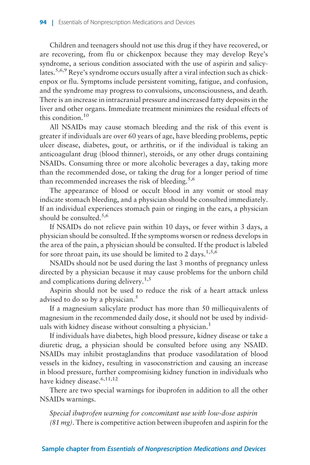Children and teenagers should not use this drug if they have recovered, or are recovering, from flu or chickenpox because they may develop Reye's syndrome, a serious condition associated with the use of aspirin and salicy-lates.<sup>[5,6,9](#page-20-0)</sup> Reve's syndrome occurs usually after a viral infection such as chickenpox or flu. Symptoms include persistent vomiting, fatigue, and confusion, and the syndrome may progress to convulsions, unconsciousness, and death. There is an increase in intracranial pressure and increased fatty deposits in the liver and other organs. Immediate treatment minimizes the residual effects of this condition.<sup>[10](#page-20-0)</sup>

All NSAIDs may cause stomach bleeding and the risk of this event is greater if individuals are over 60 years of age, have bleeding problems, peptic ulcer disease, diabetes, gout, or arthritis, or if the individual is taking an anticoagulant drug (blood thinner), steroids, or any other drugs containing NSAIDs. Consuming three or more alcoholic beverages a day, taking more than the recommended dose, or taking the drug for a longer period of time than recommended increases the risk of bleeding.<sup>[5,6](#page-20-0)</sup>

The appearance of blood or occult blood in any vomit or stool may indicate stomach bleeding, and a physician should be consulted immediately. If an individual experiences stomach pain or ringing in the ears, a physician should be consulted. $5,6$ 

If NSAIDs do not relieve pain within 10 days, or fever within 3 days, a physician should be consulted. If the symptoms worsen or redness develops in the area of the pain, a physician should be consulted. If the product is labeled for sore throat pain, its use should be limited to 2 days.<sup>[1,5,6](#page-20-0)</sup>

NSAIDs should not be used during the last 3 months of pregnancy unless directed by a physician because it may cause problems for the unborn child and complications during delivery.<sup>[1,5](#page-20-0)</sup>

Aspirin should not be used to reduce the risk of a heart attack unless advised to do so by a physician.<sup>[5](#page-20-0)</sup>

If a magnesium salicylate product has more than 50 milliequivalents of magnesium in the recommended daily dose, it should not be used by individ-uals with kidney disease without consulting a physician.<sup>[1](#page-20-0)</sup>

If individuals have diabetes, high blood pressure, kidney disease or take a diuretic drug, a physician should be consulted before using any NSAID. NSAIDs may inhibit prostaglandins that produce vasodilatation of blood vessels in the kidney, resulting in vasoconstriction and causing an increase in blood pressure, further compromising kidney function in individuals who have kidney disease.<sup>[6,11,12](#page-20-0)</sup>

There are two special warnings for ibuprofen in addition to all the other NSAIDs warnings.

Special ibuprofen warning for concomitant use with low-dose aspirin  $(81 \text{ mg})$ . There is competitive action between ibuprofen and aspirin for the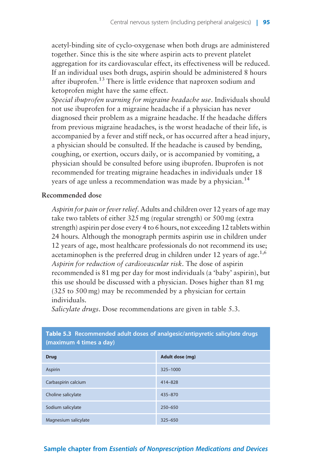acetyl-binding site of cyclo-oxygenase when both drugs are administered together. Since this is the site where aspirin acts to prevent platelet aggregation for its cardiovascular effect, its effectiveness will be reduced. If an individual uses both drugs, aspirin should be administered 8 hours after ibuprofen[.13](#page-21-0) There is little evidence that naproxen sodium and ketoprofen might have the same effect.

Special ibuprofen warning for migraine headache use. Individuals should not use ibuprofen for a migraine headache if a physician has never diagnosed their problem as a migraine headache. If the headache differs from previous migraine headaches, is the worst headache of their life, is accompanied by a fever and stiff neck, or has occurred after a head injury, a physician should be consulted. If the headache is caused by bending, coughing, or exertion, occurs daily, or is accompanied by vomiting, a physician should be consulted before using ibuprofen. Ibuprofen is not recommended for treating migraine headaches in individuals under 18 years of age unless a recommendation was made by a physician.<sup>[14](#page-21-0)</sup>

# Recommended dose

Aspirin for pain or fever relief. Adults and children over 12 years of age may take two tablets of either 325 mg (regular strength) or 500 mg (extra strength) aspirin per dose every 4 to 6 hours, not exceeding 12 tablets within 24 hours. Although the monograph permits aspirin use in children under 12 years of age, most healthcare professionals do not recommend its use; acetaminophen is the preferred drug in children under 12 years of age.<sup>1,6</sup> Aspirin for reduction of cardiovascular risk. The dose of aspirin recommended is 81 mg per day for most individuals (a 'baby' aspirin), but this use should be discussed with a physician. Doses higher than 81 mg (325 to 500 mg) may be recommended by a physician for certain individuals.

Salicylate drugs. Dose recommendations are given in table 5.3.

| (maximum 4 times a day) |                 |  |
|-------------------------|-----------------|--|
| <b>Drug</b>             | Adult dose (mg) |  |
| Aspirin                 | 325-1000        |  |
| Carbaspirin calcium     | 414-828         |  |
| Choline salicylate      | 435-870         |  |
| Sodium salicylate       | 250-650         |  |
| Magnesium salicylate    | $325 - 650$     |  |

Table 5.3 Recommended adult doses of analgesic/antipyretic salicylate drugs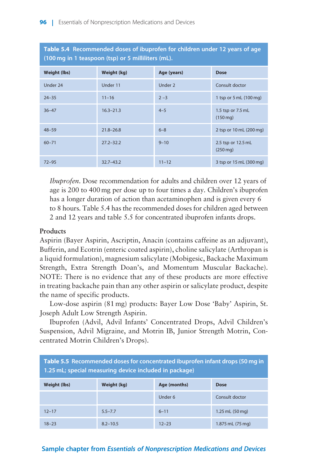Table 5.4  $R$ ecommended doses of its ibuse of ibuse for children under  $\ell$  age  $\ell$  agent  $\ell$  agent of agents of agents of agents of agents of agents of agents of agents of agents of agents of agents of agents of agents

| <b>Table 3.4</b> INCOMMENDED QUISES OF IDUPTONER TOF CHINESIT QUIDET TZ years of age<br>(100 mg in 1 teaspoon (tsp) or 5 milliliters (mL). |               |             |                                            |
|--------------------------------------------------------------------------------------------------------------------------------------------|---------------|-------------|--------------------------------------------|
| <b>Weight (lbs)</b>                                                                                                                        | Weight (kg)   | Age (years) | <b>Dose</b>                                |
| Under 24                                                                                                                                   | Under 11      | Under 2     | Consult doctor                             |
| $24 - 35$                                                                                                                                  | $11 - 16$     | $2 - 3$     | 1 tsp or 5 mL (100 mg)                     |
| $36 - 47$                                                                                                                                  | $16.3 - 21.3$ | $4 - 5$     | 1.5 tsp or 7.5 mL<br>$(150 \,\mathrm{mg})$ |
| $48 - 59$                                                                                                                                  | $21.8 - 26.8$ | $6 - 8$     | 2 tsp or 10 mL (200 mg)                    |
| $60 - 71$                                                                                                                                  | $27.2 - 32.2$ | $9 - 10$    | 2.5 tsp or 12.5 mL<br>$(250 \text{ mg})$   |
| $72 - 95$                                                                                                                                  | $32.7 - 43.2$ | $11 - 12$   | 3 tsp or 15 mL (300 mg)                    |

Ibuprofen. Dose recommendation for adults and children over 12 years of age is 200 to 400 mg per dose up to four times a day. Children's ibuprofen has a longer duration of action than acetaminophen and is given every 6 to 8 hours. Table 5.4 has the recommended doses for children aged between 2 and 12 years and table 5.5 for concentrated ibuprofen infants drops.

# Products

Aspirin (Bayer Aspirin, Ascriptin, Anacin (contains caffeine as an adjuvant), Bufferin, and Ecotrin (enteric coated aspirin), choline salicylate (Arthropan is a liquid formulation), magnesium salicylate (Mobigesic, Backache Maximum Strength, Extra Strength Doan's, and Momentum Muscular Backache). NOTE: There is no evidence that any of these products are more effective in treating backache pain than any other aspirin or salicylate product, despite the name of specific products.

Low-dose aspirin (81 mg) products: Bayer Low Dose 'Baby' Aspirin, St. Joseph Adult Low Strength Aspirin.

Ibuprofen (Advil, Advil Infants' Concentrated Drops, Advil Children's Suspension, Advil Migraine, and Motrin IB, Junior Strength Motrin, Concentrated Motrin Children's Drops).

| Table 5.5 Recommended doses for concentrated ibuprofen infant drops (50 mg in<br>1.25 mL; special measuring device included in package) |              |              |                     |
|-----------------------------------------------------------------------------------------------------------------------------------------|--------------|--------------|---------------------|
| Weight (lbs)                                                                                                                            | Weight (kg)  | Age (months) | <b>Dose</b>         |
|                                                                                                                                         |              | Under 6      | Consult doctor      |
| $12 - 17$                                                                                                                               | $5.5 - 7.7$  | $6 - 11$     | $1.25$ mL $(50$ mg) |
| $18 - 23$                                                                                                                               | $8.2 - 10.5$ | $12 - 23$    | 1.875 mL (75 mg)    |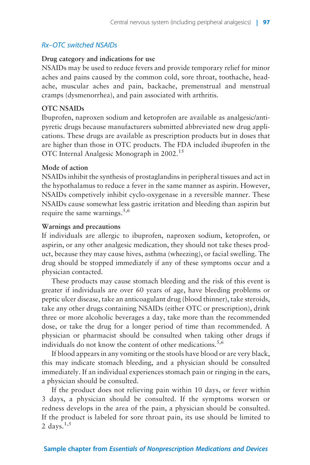# Rx–OTC switched NSAIDs

# Drug category and indications for use

NSAIDs may be used to reduce fevers and provide temporary relief for minor aches and pains caused by the common cold, sore throat, toothache, headache, muscular aches and pain, backache, premenstrual and menstrual cramps (dysmenorrhea), and pain associated with arthritis.

# OTC NSAIDs

Ibuprofen, naproxen sodium and ketoprofen are available as analgesic/antipyretic drugs because manufacturers submitted abbreviated new drug applications. These drugs are available as prescription products but in doses that are higher than those in OTC products. The FDA included ibuprofen in the OTC Internal Analgesic Monograph in 2002.[15](#page-21-0)

# Mode of action

NSAIDs inhibit the synthesis of prostaglandins in peripheral tissues and act in the hypothalamus to reduce a fever in the same manner as aspirin. However, NSAIDs competively inhibit cyclo-oxygenase in a reversible manner. These NSAIDs cause somewhat less gastric irritation and bleeding than aspirin but require the same warnings.<sup>[5,6](#page-20-0)</sup>

#### Warnings and precautions

If individuals are allergic to ibuprofen, naproxen sodium, ketoprofen, or aspirin, or any other analgesic medication, they should not take theses product, because they may cause hives, asthma (wheezing), or facial swelling. The drug should be stopped immediately if any of these symptoms occur and a physician contacted.

These products may cause stomach bleeding and the risk of this event is greater if individuals are over 60 years of age, have bleeding problems or peptic ulcer disease, take an anticoagulant drug (blood thinner), take steroids, take any other drugs containing NSAIDs (either OTC or prescription), drink three or more alcoholic beverages a day, take more than the recommended dose, or take the drug for a longer period of time than recommended. A physician or pharmacist should be consulted when taking other drugs if individuals do not know the content of other medications.<sup>[5,6](#page-20-0)</sup>

If blood appears in any vomiting or the stools have blood or are very black, this may indicate stomach bleeding, and a physician should be consulted immediately. If an individual experiences stomach pain or ringing in the ears, a physician should be consulted.

If the product does not relieving pain within 10 days, or fever within 3 days, a physician should be consulted. If the symptoms worsen or redness develops in the area of the pain, a physician should be consulted. If the product is labeled for sore throat pain, its use should be limited to 2 days. $1,5$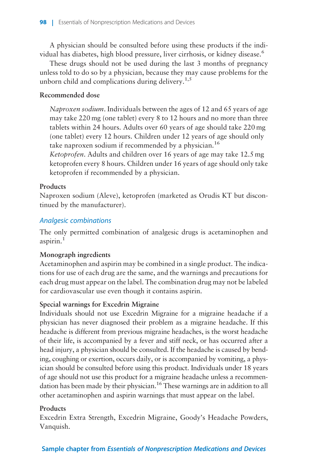A physician should be consulted before using these products if the indi-vidual has diabetes, high blood pressure, liver cirrhosis, or kidney disease.<sup>[6](#page-20-0)</sup>

These drugs should not be used during the last 3 months of pregnancy unless told to do so by a physician, because they may cause problems for the unborn child and complications during delivery.<sup>[1,5](#page-20-0)</sup>

# Recommended dose

Naproxen sodium. Individuals between the ages of 12 and 65 years of age may take 220 mg (one tablet) every 8 to 12 hours and no more than three tablets within 24 hours. Adults over 60 years of age should take 220 mg (one tablet) every 12 hours. Children under 12 years of age should only take naproxen sodium if recommended by a physician.<sup>[16](#page-21-0)</sup>

Ketoprofen. Adults and children over 16 years of age may take 12.5 mg ketoprofen every 8 hours. Children under 16 years of age should only take ketoprofen if recommended by a physician.

# **Products**

Naproxen sodium (Aleve), ketoprofen (marketed as Orudis KT but discontinued by the manufacturer).

# Analgesic combinations

The only permitted combination of analgesic drugs is acetaminophen and aspirin. $<sup>1</sup>$  $<sup>1</sup>$  $<sup>1</sup>$ </sup>

# Monograph ingredients

Acetaminophen and aspirin may be combined in a single product. The indications for use of each drug are the same, and the warnings and precautions for each drug must appear on the label. The combination drug may not be labeled for cardiovascular use even though it contains aspirin.

# Special warnings for Excedrin Migraine

Individuals should not use Excedrin Migraine for a migraine headache if a physician has never diagnosed their problem as a migraine headache. If this headache is different from previous migraine headaches, is the worst headache of their life, is accompanied by a fever and stiff neck, or has occurred after a head injury, a physician should be consulted. If the headache is caused by bending, coughing or exertion, occurs daily, or is accompanied by vomiting, a physician should be consulted before using this product. Individuals under 18 years of age should not use this product for a migraine headache unless a recommendation has been made by their physician.<sup>16</sup> These warnings are in addition to all other acetaminophen and aspirin warnings that must appear on the label.

# **Products**

Excedrin Extra Strength, Excedrin Migraine, Goody's Headache Powders, Vanquish.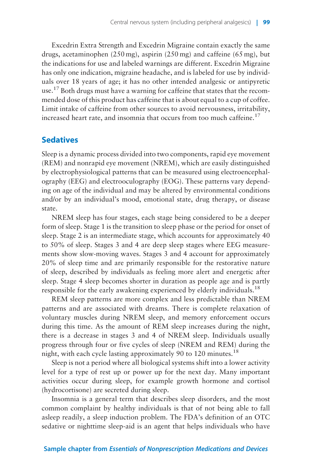Excedrin Extra Strength and Excedrin Migraine contain exactly the same drugs, acetaminophen (250 mg), aspirin (250 mg) and caffeine (65 mg), but the indications for use and labeled warnings are different. Excedrin Migraine has only one indication, migraine headache, and is labeled for use by individuals over 18 years of age; it has no other intended analgesic or antipyretic use.<sup>[17](#page-21-0)</sup> Both drugs must have a warning for caffeine that states that the recommended dose of this product has caffeine that is about equal to a cup of coffee. Limit intake of caffeine from other sources to avoid nervousness, irritability, increased heart rate, and insomnia that occurs from too much caffeine.<sup>17</sup>

#### Sedatives

Sleep is a dynamic process divided into two components, rapid eye movement (REM) and nonrapid eye movement (NREM), which are easily distinguished by electrophysiological patterns that can be measured using electroencephalography (EEG) and electrooculography (EOG). These patterns vary depending on age of the individual and may be altered by environmental conditions and/or by an individual's mood, emotional state, drug therapy, or disease state.

NREM sleep has four stages, each stage being considered to be a deeper form of sleep. Stage 1 is the transition to sleep phase or the period for onset of sleep. Stage 2 is an intermediate stage, which accounts for approximately 40 to 50% of sleep. Stages 3 and 4 are deep sleep stages where EEG measurements show slow-moving waves. Stages 3 and 4 account for approximately 20% of sleep time and are primarily responsible for the restorative nature of sleep, described by individuals as feeling more alert and energetic after sleep. Stage 4 sleep becomes shorter in duration as people age and is partly responsible for the early awakening experienced by elderly individuals.<sup>18</sup>

REM sleep patterns are more complex and less predictable than NREM patterns and are associated with dreams. There is complete relaxation of voluntary muscles during NREM sleep, and memory enforcement occurs during this time. As the amount of REM sleep increases during the night, there is a decrease in stages 3 and 4 of NREM sleep. Individuals usually progress through four or five cycles of sleep (NREM and REM) during the night, with each cycle lasting approximately 90 to 120 minutes.[18](#page-21-0)

Sleep is not a period where all biological systems shift into a lower activity level for a type of rest up or power up for the next day. Many important activities occur during sleep, for example growth hormone and cortisol (hydrocortisone) are secreted during sleep.

Insomnia is a general term that describes sleep disorders, and the most common complaint by healthy individuals is that of not being able to fall asleep readily, a sleep induction problem. The FDA's definition of an OTC sedative or nighttime sleep-aid is an agent that helps individuals who have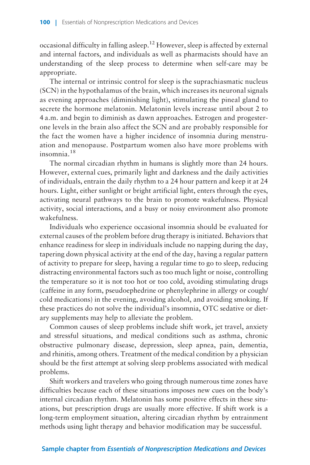occasional difficulty in falling asleep.[12](#page-20-0) However, sleep is affected by external and internal factors, and individuals as well as pharmacists should have an understanding of the sleep process to determine when self-care may be appropriate.

The internal or intrinsic control for sleep is the suprachiasmatic nucleus (SCN) in the hypothalamus of the brain, which increases its neuronal signals as evening approaches (diminishing light), stimulating the pineal gland to secrete the hormone melatonin. Melatonin levels increase until about 2 to 4 a.m. and begin to diminish as dawn approaches. Estrogen and progesterone levels in the brain also affect the SCN and are probably responsible for the fact the women have a higher incidence of insomnia during menstruation and menopause. Postpartum women also have more problems with insomnia.[18](#page-21-0)

The normal circadian rhythm in humans is slightly more than 24 hours. However, external cues, primarily light and darkness and the daily activities of individuals, entrain the daily rhythm to a 24 hour pattern and keep it at 24 hours. Light, either sunlight or bright artificial light, enters through the eyes, activating neural pathways to the brain to promote wakefulness. Physical activity, social interactions, and a busy or noisy environment also promote wakefulness.

Individuals who experience occasional insomnia should be evaluated for external causes of the problem before drug therapy is initiated. Behaviors that enhance readiness for sleep in individuals include no napping during the day, tapering down physical activity at the end of the day, having a regular pattern of activity to prepare for sleep, having a regular time to go to sleep, reducing distracting environmental factors such as too much light or noise, controlling the temperature so it is not too hot or too cold, avoiding stimulating drugs (caffeine in any form, pseudoephedrine or phenylephrine in allergy or cough/ cold medications) in the evening, avoiding alcohol, and avoiding smoking. If these practices do not solve the individual's insomnia, OTC sedative or dietary supplements may help to alleviate the problem.

Common causes of sleep problems include shift work, jet travel, anxiety and stressful situations, and medical conditions such as asthma, chronic obstructive pulmonary disease, depression, sleep apnea, pain, dementia, and rhinitis, among others. Treatment of the medical condition by a physician should be the first attempt at solving sleep problems associated with medical problems.

Shift workers and travelers who going through numerous time zones have difficulties because each of these situations imposes new cues on the body's internal circadian rhythm. Melatonin has some positive effects in these situations, but prescription drugs are usually more effective. If shift work is a long-term employment situation, altering circadian rhythm by entrainment methods using light therapy and behavior modification may be successful.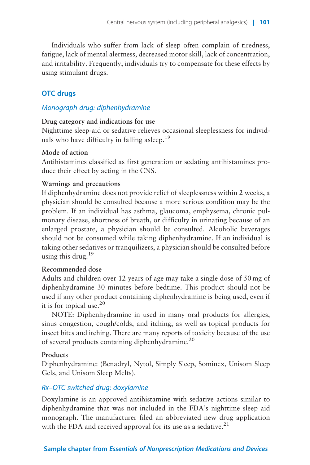Individuals who suffer from lack of sleep often complain of tiredness, fatigue, lack of mental alertness, decreased motor skill, lack of concentration, and irritability. Frequently, individuals try to compensate for these effects by using stimulant drugs.

# **OTC** drugs

# Monograph drug: diphenhydramine

# Drug category and indications for use

Nighttime sleep-aid or sedative relieves occasional sleeplessness for individuals who have difficulty in falling asleep.[19](#page-21-0)

# Mode of action

Antihistamines classified as first generation or sedating antihistamines produce their effect by acting in the CNS.

# Warnings and precautions

If diphenhydramine does not provide relief of sleeplessness within 2 weeks, a physician should be consulted because a more serious condition may be the problem. If an individual has asthma, glaucoma, emphysema, chronic pulmonary disease, shortness of breath, or difficulty in urinating because of an enlarged prostate, a physician should be consulted. Alcoholic beverages should not be consumed while taking diphenhydramine. If an individual is taking other sedatives or tranquilizers, a physician should be consulted before using this drug. $19$ 

# Recommended dose

Adults and children over 12 years of age may take a single dose of 50 mg of diphenhydramine 30 minutes before bedtime. This product should not be used if any other product containing diphenhydramine is being used, even if it is for topical use.[20](#page-21-0)

NOTE: Diphenhydramine in used in many oral products for allergies, sinus congestion, cough/colds, and itching, as well as topical products for insect bites and itching. There are many reports of toxicity because of the use of several products containing diphenhydramine.<sup>[20](#page-21-0)</sup>

# **Products**

Diphenhydramine: (Benadryl, Nytol, Simply Sleep, Sominex, Unisom Sleep Gels, and Unisom Sleep Melts).

# Rx–OTC switched drug: doxylamine

Doxylamine is an approved antihistamine with sedative actions similar to diphenhydramine that was not included in the FDA's nighttime sleep aid monograph. The manufacturer filed an abbreviated new drug application with the FDA and received approval for its use as a sedative.<sup>[21](#page-21-0)</sup>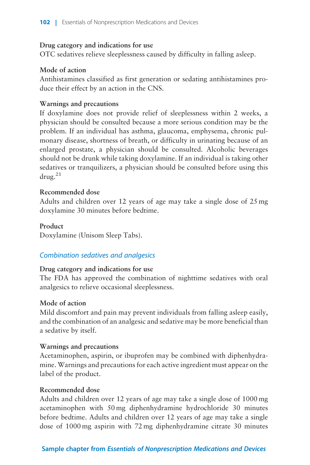#### Drug category and indications for use

OTC sedatives relieve sleeplessness caused by difficulty in falling asleep.

#### Mode of action

Antihistamines classified as first generation or sedating antihistamines produce their effect by an action in the CNS.

# Warnings and precautions

If doxylamine does not provide relief of sleeplessness within 2 weeks, a physician should be consulted because a more serious condition may be the problem. If an individual has asthma, glaucoma, emphysema, chronic pulmonary disease, shortness of breath, or difficulty in urinating because of an enlarged prostate, a physician should be consulted. Alcoholic beverages should not be drunk while taking doxylamine. If an individual is taking other sedatives or tranquilizers, a physician should be consulted before using this  $\frac{d}{d}$ 

# Recommended dose

Adults and children over 12 years of age may take a single dose of 25 mg doxylamine 30 minutes before bedtime.

#### Product

Doxylamine (Unisom Sleep Tabs).

# Combination sedatives and analgesics

#### Drug category and indications for use

The FDA has approved the combination of nighttime sedatives with oral analgesics to relieve occasional sleeplessness.

#### Mode of action

Mild discomfort and pain may prevent individuals from falling asleep easily, and the combination of an analgesic and sedative may be more beneficial than a sedative by itself.

#### Warnings and precautions

Acetaminophen, aspirin, or ibuprofen may be combined with diphenhydramine. Warnings and precautions for each active ingredient must appear on the label of the product.

# Recommended dose

Adults and children over 12 years of age may take a single dose of 1000 mg acetaminophen with 50 mg diphenhydramine hydrochloride 30 minutes before bedtime. Adults and children over 12 years of age may take a single dose of 1000 mg aspirin with 72 mg diphenhydramine citrate 30 minutes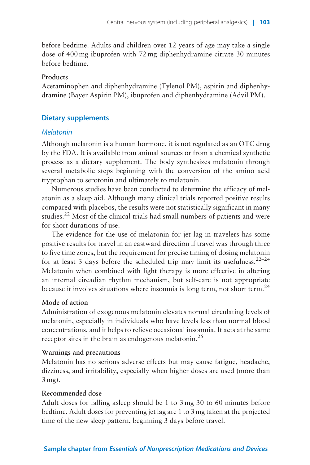before bedtime. Adults and children over 12 years of age may take a single dose of 400 mg ibuprofen with 72 mg diphenhydramine citrate 30 minutes before bedtime.

#### **Products**

Acetaminophen and diphenhydramine (Tylenol PM), aspirin and diphenhydramine (Bayer Aspirin PM), ibuprofen and diphenhydramine (Advil PM).

#### Dietary supplements

#### Melatonin

Although melatonin is a human hormone, it is not regulated as an OTC drug by the FDA. It is available from animal sources or from a chemical synthetic process as a dietary supplement. The body synthesizes melatonin through several metabolic steps beginning with the conversion of the amino acid tryptophan to serotonin and ultimately to melatonin.

Numerous studies have been conducted to determine the efficacy of melatonin as a sleep aid. Although many clinical trials reported positive results compared with placebos, the results were not statistically significant in many studies.<sup>[22](#page-21-0)</sup> Most of the clinical trials had small numbers of patients and were for short durations of use.

The evidence for the use of melatonin for jet lag in travelers has some positive results for travel in an eastward direction if travel was through three to five time zones, but the requirement for precise timing of dosing melatonin for at least 3 days before the scheduled trip may limit its usefulness.  $22-24$ Melatonin when combined with light therapy is more effective in altering an internal circadian rhythm mechanism, but self-care is not appropriate because it involves situations where insomnia is long term, not short term.<sup>[24](#page-21-0)</sup>

#### Mode of action

Administration of exogenous melatonin elevates normal circulating levels of melatonin, especially in individuals who have levels less than normal blood concentrations, and it helps to relieve occasional insomnia. It acts at the same receptor sites in the brain as endogenous melatonin.<sup>[25](#page-21-0)</sup>

#### Warnings and precautions

Melatonin has no serious adverse effects but may cause fatigue, headache, dizziness, and irritability, especially when higher doses are used (more than 3 mg).

#### Recommended dose

Adult doses for falling asleep should be 1 to 3 mg 30 to 60 minutes before bedtime. Adult doses for preventing jet lag are 1 to 3 mg taken at the projected time of the new sleep pattern, beginning 3 days before travel.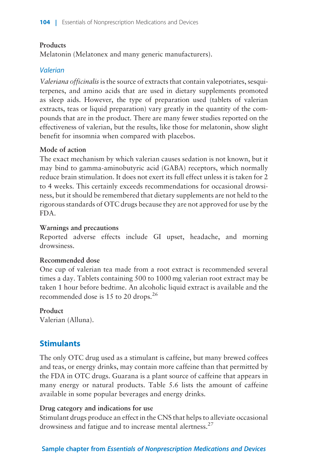# **Products**

Melatonin (Melatonex and many generic manufacturers).

# Valerian

Valeriana officinalis is the source of extracts that contain valepotriates, sesquiterpenes, and amino acids that are used in dietary supplements promoted as sleep aids. However, the type of preparation used (tablets of valerian extracts, teas or liquid preparation) vary greatly in the quantity of the compounds that are in the product. There are many fewer studies reported on the effectiveness of valerian, but the results, like those for melatonin, show slight benefit for insomnia when compared with placebos.

# Mode of action

The exact mechanism by which valerian causes sedation is not known, but it may bind to gamma-aminobutyric acid (GABA) receptors, which normally reduce brain stimulation. It does not exert its full effect unless it is taken for 2 to 4 weeks. This certainly exceeds recommendations for occasional drowsiness, but it should be remembered that dietary supplements are not held to the rigorous standards of OTC drugs because they are not approved for use by the FDA.

#### Warnings and precautions

Reported adverse effects include GI upset, headache, and morning drowsiness.

# Recommended dose

One cup of valerian tea made from a root extract is recommended several times a day. Tablets containing 500 to 1000 mg valerian root extract may be taken 1 hour before bedtime. An alcoholic liquid extract is available and the recommended dose is 15 to 20 drops.<sup>26</sup>

# Product

Valerian (Alluna).

# **Stimulants**

The only OTC drug used as a stimulant is caffeine, but many brewed coffees and teas, or energy drinks, may contain more caffeine than that permitted by the FDA in OTC drugs. Guarana is a plant source of caffeine that appears in many energy or natural products. [Table 5.6](#page-16-0) lists the amount of caffeine available in some popular beverages and energy drinks.

#### Drug category and indications for use

Stimulant drugs produce an effect in the CNS that helps to alleviate occasional drowsiness and fatigue and to increase mental alertness.<sup>[27](#page-21-0)</sup>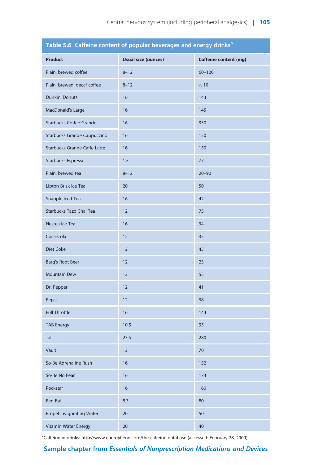<span id="page-16-0"></span>

| Table 5.6 Caffeine content of popular beverages and energy drinks <sup>a</sup> |                            |                              |  |
|--------------------------------------------------------------------------------|----------------------------|------------------------------|--|
| <b>Product</b>                                                                 | <b>Usual size (ounces)</b> | <b>Caffeine content (mg)</b> |  |
| Plain, brewed coffee                                                           | $8 - 12$                   | $60 - 120$                   |  |
| Plain, brewed, decaf coffee                                                    | $8 - 12$                   | < 10                         |  |
| <b>Dunkin' Donuts</b>                                                          | 16                         | 143                          |  |
| MacDonald's Large                                                              | 16                         | 145                          |  |
| <b>Starbucks Coffee Grande</b>                                                 | 16                         | 330                          |  |
| Starbucks Grande Cappuccino                                                    | 16                         | 150                          |  |
| <b>Starbucks Grande Caffe Latte</b>                                            | 16                         | 150                          |  |
| Starbucks Espresso                                                             | 1.5                        | 77                           |  |
| Plain, brewed tea                                                              | $8 - 12$                   | $20 - 90$                    |  |
| Lipton Brisk Ice Tea                                                           | 20                         | 50                           |  |
| Snapple Iced Tea                                                               | 16                         | 42                           |  |
| Starbucks Tazo Chai Tea                                                        | 12                         | 75                           |  |
| Nestea Ice Tea                                                                 | 16                         | 34                           |  |
| Coca-Cola                                                                      | 12                         | 35                           |  |
| Diet Coke                                                                      | 12                         | 45                           |  |
| Barq's Root Beer                                                               | 12                         | 23                           |  |
| <b>Mountain Dew</b>                                                            | 12                         | 55                           |  |
| Dr. Pepper                                                                     | 12                         | 41                           |  |
| Pepsi                                                                          | 12                         | 38                           |  |
| <b>Full Throttle</b>                                                           | 16                         | 144                          |  |
| <b>TAB Energy</b>                                                              | 10.5                       | 95                           |  |
| Jolt                                                                           | 23.5                       | 280                          |  |
| Vault                                                                          | 12                         | 70                           |  |
| So-Be Adrenaline Rush                                                          | 16                         | 152                          |  |
| So-Be No Fear                                                                  | 16                         | 174                          |  |
| Rockstar                                                                       | 16                         | 160                          |  |
| <b>Red Bull</b>                                                                | 8.3                        | 80                           |  |
| Propel Invigorating Water                                                      | 20                         | 50                           |  |
| Vitamin Water Energy                                                           | 20                         | 40                           |  |

a Caffeine in drinks: http://www.energyfiend.com/the-caffeine-database (accessed: February 28, 2009).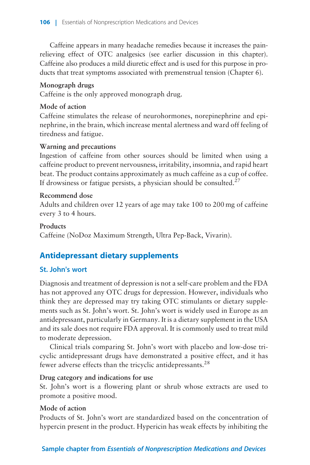Caffeine appears in many headache remedies because it increases the painrelieving effect of OTC analgesics (see earlier discussion in this chapter). Caffeine also produces a mild diuretic effect and is used for this purpose in products that treat symptoms associated with premenstrual tension (Chapter 6).

# Monograph drugs

Caffeine is the only approved monograph drug.

# Mode of action

Caffeine stimulates the release of neurohormones, norepinephrine and epinephrine, in the brain, which increase mental alertness and ward off feeling of tiredness and fatigue.

#### Warning and precautions

Ingestion of caffeine from other sources should be limited when using a caffeine product to prevent nervousness, irritability, insomnia, and rapid heart beat. The product contains approximately as much caffeine as a cup of coffee. If drowsiness or fatigue persists, a physician should be consulted.<sup>[27](#page-21-0)</sup>

#### Recommend dose

Adults and children over 12 years of age may take 100 to 200 mg of caffeine every 3 to 4 hours.

**Products** Caffeine (NoDoz Maximum Strength, Ultra Pep-Back, Vivarin).

# Antidepressant dietary supplements

# St. John's wort

Diagnosis and treatment of depression is not a self-care problem and the FDA has not approved any OTC drugs for depression. However, individuals who think they are depressed may try taking OTC stimulants or dietary supplements such as St. John's wort. St. John's wort is widely used in Europe as an antidepressant, particularly in Germany. It is a dietary supplement in the USA and its sale does not require FDA approval. It is commonly used to treat mild to moderate depression.

Clinical trials comparing St. John's wort with placebo and low-dose tricyclic antidepressant drugs have demonstrated a positive effect, and it has fewer adverse effects than the tricyclic antidepressants.[28](#page-21-0)

#### Drug category and indications for use

St. John's wort is a flowering plant or shrub whose extracts are used to promote a positive mood.

# Mode of action

Products of St. John's wort are standardized based on the concentration of hypercin present in the product. Hypericin has weak effects by inhibiting the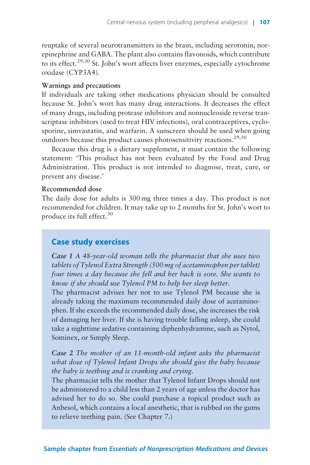reuptake of several neurotransmitters in the brain, including serotonin, norepinephrine and GABA. The plant also contains flavonoids, which contribute to its effect.[29,30](#page-21-0) St. John's wort affects liver enzymes, especially cytochrome oxidase (CYP3A4).

# Warnings and precautions

If individuals are taking other medications physician should be consulted because St. John's wort has many drug interactions. It decreases the effect of many drugs, including protease inhibitors and nonnucleoside reverse transcriptase inhibitors (used to treat HIV infections), oral contraceptives, cyclosporine, simvastatin, and warfarin. A sunscreen should be used when going outdoors because this product causes photosensitivity reactions.<sup>[29,30](#page-21-0)</sup>

Because this drug is a dietary supplement, it must contain the following statement: 'This product has not been evaluated by the Food and Drug Administration. This product is not intended to diagnose, treat, cure, or prevent any disease.'

# Recommended dose

The daily dose for adults is 300 mg three times a day. This product is not recommended for children. It may take up to 2 months for St. John's wort to produce its full effect.[30](#page-21-0)

# Case study exercises

Case 1 A 48-year-old woman tells the pharmacist that she uses two tablets of Tylenol Extra Strength (500 mg of acetaminophen per tablet) four times a day because she fell and her back is sore. She wants to know if she should use Tylenol PM to help her sleep better.

The pharmacist advises her not to use Tylenol PM because she is already taking the maximum recommended daily dose of acetaminophen. If she exceeds the recommended daily dose, she increases the risk of damaging her liver. If she is having trouble falling asleep, she could take a nighttime sedative containing diphenhydramine, such as Nytol, Sominex, or Simply Sleep.

# Case 2 The mother of an 11-month-old infant asks the pharmacist what dose of Tylenol Infant Drops she should give the baby because the baby is teething and is cranking and crying.

The pharmacist tells the mother that Tylenol Infant Drops should not be administered to a child less than 2 years of age unless the doctor has advised her to do so. She could purchase a topical product such as Anbesol, which contains a local anesthetic, that is rubbed on the gums to relieve teething pain. (See Chapter 7.)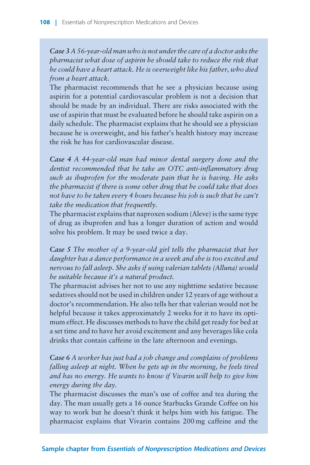Case 3 A 56-year-old man who is not under the care of a doctor asks the pharmacist what dose of aspirin he should take to reduce the risk that he could have a heart attack. He is overweight like his father, who died from a heart attack.

The pharmacist recommends that he see a physician because using aspirin for a potential cardiovascular problem is not a decision that should be made by an individual. There are risks associated with the use of aspirin that must be evaluated before he should take aspirin on a daily schedule. The pharmacist explains that he should see a physician because he is overweight, and his father's health history may increase the risk he has for cardiovascular disease.

Case 4 A 44-year-old man had minor dental surgery done and the dentist recommended that he take an OTC anti-inflammatory drug such as ibuprofen for the moderate pain that he is having. He asks the pharmacist if there is some other drug that he could take that does not have to be taken every 4 hours because his job is such that he can't take the medication that frequently.

The pharmacist explains that naproxen sodium (Aleve) is the same type of drug as ibuprofen and has a longer duration of action and would solve his problem. It may be used twice a day.

Case 5 The mother of a 9-year-old girl tells the pharmacist that her daughter has a dance performance in a week and she is too excited and nervous to fall asleep. She asks if using valerian tablets (Alluna) would be suitable because it's a natural product.

The pharmacist advises her not to use any nighttime sedative because sedatives should not be used in children under 12 years of age without a doctor's recommendation. He also tells her that valerian would not be helpful because it takes approximately 2 weeks for it to have its optimum effect. He discusses methods to have the child get ready for bed at a set time and to have her avoid excitement and any beverages like cola drinks that contain caffeine in the late afternoon and evenings.

Case 6 A worker has just had a job change and complains of problems falling asleep at night. When he gets up in the morning, he feels tired and has no energy. He wants to know if Vivarin will help to give him energy during the day.

The pharmacist discusses the man's use of coffee and tea during the day. The man usually gets a 16 ounce Starbucks Grande Coffee on his way to work but he doesn't think it helps him with his fatigue. The pharmacist explains that Vivarin contains 200 mg caffeine and the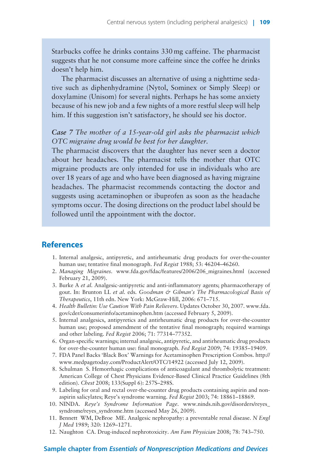<span id="page-20-0"></span>Starbucks coffee he drinks contains 330 mg caffeine. The pharmacist suggests that he not consume more caffeine since the coffee he drinks doesn't help him.

The pharmacist discusses an alternative of using a nighttime sedative such as diphenhydramine (Nytol, Sominex or Simply Sleep) or doxylamine (Unisom) for several nights. Perhaps he has some anxiety because of his new job and a few nights of a more restful sleep will help him. If this suggestion isn't satisfactory, he should see his doctor.

# Case 7 The mother of a 15-year-old girl asks the pharmacist which OTC migraine drug would be best for her daughter.

The pharmacist discovers that the daughter has never seen a doctor about her headaches. The pharmacist tells the mother that OTC migraine products are only intended for use in individuals who are over 18 years of age and who have been diagnosed as having migraine headaches. The pharmacist recommends contacting the doctor and suggests using acetaminophen or ibuprofen as soon as the headache symptoms occur. The dosing directions on the product label should be followed until the appointment with the doctor.

# References

- 1. Internal analgesic, antipyretic, and antirheumatic drug products for over-the-counter human use; tentative final monograph. Fed Regist 1988; 53: 46204–46260.
- 2. Managing Migraines. www.fda.gov/fdac/features/2006/206\_migraines.html (accessed February 21, 2009).
- 3. Burke A et al. Analgesic-antipyretic and anti-inflammatory agents; pharmacotherapy of gout. In: Brunton LL et al. eds. Goodman & Gilman's The Pharmacological Basis of Therapeutics, 11th edn. New York: McGraw-Hill, 2006: 671–715.
- 4. Health Bulletin: Use Caution With Pain Relievers. Updates October 30, 2007. www.fda. gov/cder/consumerinfo/acetaminophen.htm (accessed February 5, 2009).
- 5. Internal analgesics, antipyretics and antirheumatic drug products for over-the-counter human use; proposed amendment of the tentative final monograph; required warnings and other labeling. Fed Regist 2006; 71: 77314–77352.
- 6. Organ-specific warnings; internal analgesic, antipyretic, and antirheumatic drug products for over-the-counter human use: final monograph. Fed Regist 2009; 74: 19385–19409.
- 7. FDA Panel Backs 'Black Box' Warnings for Acetaminophen Prescription Combos. http:// www.medpagetoday.com/ProductAlert/OTC/14922 (accessed July 12, 2009).
- 8. Schulman S. Hemorrhagic complications of anticoagulant and thrombolytic treatment: American College of Chest Physicians Evidence-Based Clinical Practice Guidelines (8th edition). Chest 2008; 133(Suppl 6): 257S–298S.
- 9. Labeling for oral and rectal over-the-counter drug products containing aspirin and nonaspirin salicylates; Reye's syndrome warning. Fed Regist 2003; 74: 18861–18869.
- 10. NINDA. Reye's Syndrome Information Page. www.ninds.nih.gov/disorders/reyes\_ syndrome/reyes\_syndrome.htm (accessed May 26, 2009).
- 11. Bennett WM, DeBroe ME. Analgesic nephropathy: a preventable renal disease. N Engl J Med 1989; 320: 1269–1271.
- 12. Naughton CA. Drug-induced nephrotoxicity. Am Fam Physician 2008; 78: 743–750.